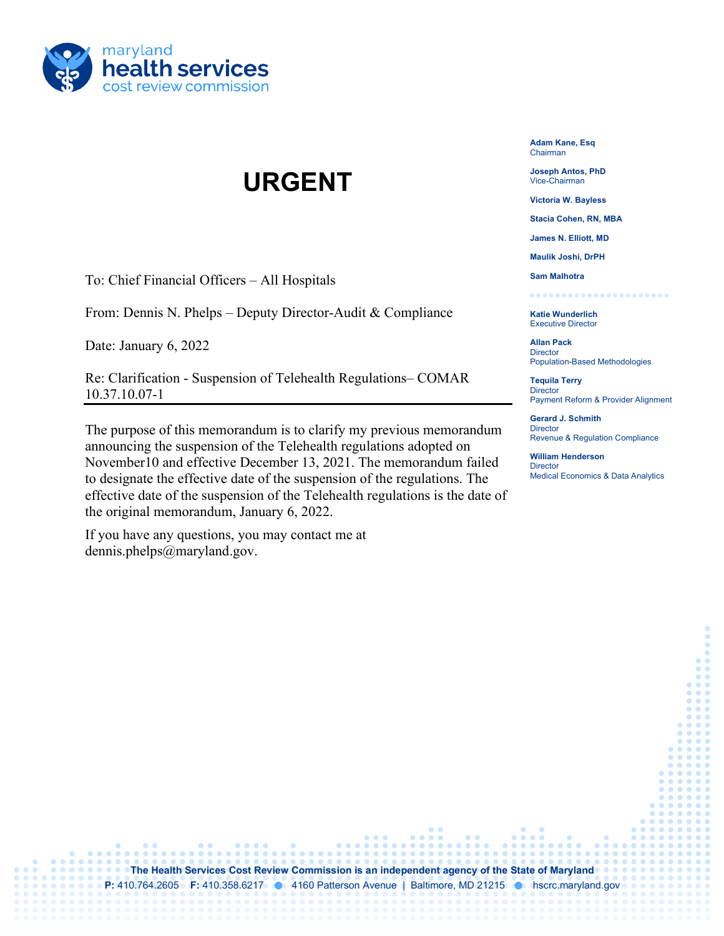

## **URGENT**

To: Chief Financial Officers – All Hospitals

From: Dennis N. Phelps – Deputy Director-Audit & Compliance

Date: January 6, 2022

Re: Clarification - Suspension of Telehealth Regulations– COMAR 10.37.10.07-1

The purpose of this memorandum is to clarify my previous memorandum announcing the suspension of the Telehealth regulations adopted on November10 and effective December 13, 2021. The memorandum failed to designate the effective date of the suspension of the regulations. The effective date of the suspension of the Telehealth regulations is the date of the original memorandum, January 6, 2022.

If you have any questions, you may contact me at dennis.phelps@maryland.gov.

**Adam Kane, Esq** Chairman

**Joseph Antos, PhD** Vice-Chairman

**Victoria W. Bayless**

**Stacia Cohen, RN, MBA**

**James N. Elliott, MD**

**Maulik Joshi, DrPH**

**Sam Malhotra** . . . . . . . .

**Katie Wunderlich** Executive Director

**Allan Pack Director** Population-Based Methodologies

**Tequila Terry Director** Payment Reform & Provider Alignment

**Gerard J. Schmith Director** Revenue & Regulation Compliance

**William Henderson Director** Medical Economics & Data Analytics